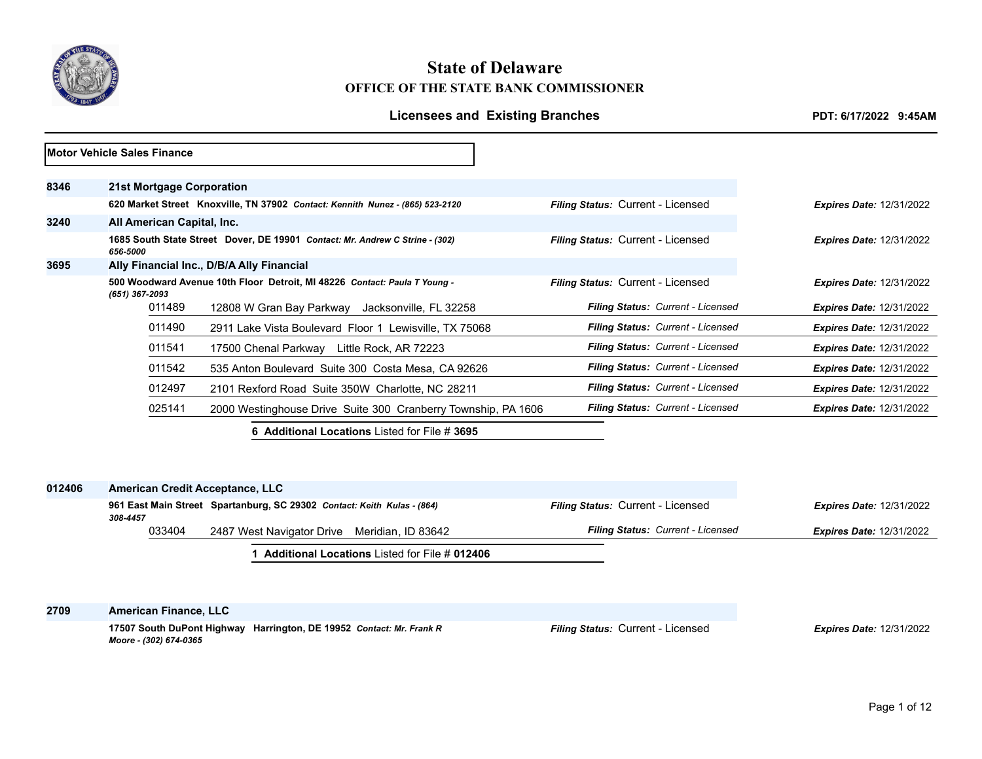

# **State of Delaware OFFICE OF THE STATE BANK COMMISSIONER**

# Licensees and Existing Branches *PDT: 6/17/2022 9:45AM*

|      | <b>Motor Vehicle Sales Finance</b> |                                                                               |                                          |                                 |
|------|------------------------------------|-------------------------------------------------------------------------------|------------------------------------------|---------------------------------|
| 8346 | 21st Mortgage Corporation          |                                                                               |                                          |                                 |
|      |                                    | 620 Market Street Knoxville, TN 37902 Contact: Kennith Nunez - (865) 523-2120 | <b>Filing Status: Current - Licensed</b> | <b>Expires Date: 12/31/2022</b> |
| 3240 | All American Capital, Inc.         |                                                                               |                                          |                                 |
|      | 656-5000                           | 1685 South State Street Dover, DE 19901 Contact: Mr. Andrew C Strine - (302)  | <b>Filing Status: Current - Licensed</b> | <b>Expires Date: 12/31/2022</b> |
| 3695 |                                    | Ally Financial Inc., D/B/A Ally Financial                                     |                                          |                                 |
|      | (651) 367-2093                     | 500 Woodward Avenue 10th Floor Detroit, MI 48226 Contact: Paula T Young -     | <b>Filing Status: Current - Licensed</b> | <b>Expires Date: 12/31/2022</b> |
|      | 011489                             | 12808 W Gran Bay Parkway Jacksonville, FL 32258                               | Filing Status: Current - Licensed        | <b>Expires Date: 12/31/2022</b> |
|      | 011490                             | 2911 Lake Vista Boulevard Floor 1 Lewisville, TX 75068                        | Filing Status: Current - Licensed        | <b>Expires Date: 12/31/2022</b> |
|      | 011541                             | 17500 Chenal Parkway Little Rock, AR 72223                                    | Filing Status: Current - Licensed        | <b>Expires Date: 12/31/2022</b> |
|      | 011542                             | 535 Anton Boulevard Suite 300 Costa Mesa, CA 92626                            | Filing Status: Current - Licensed        | <b>Expires Date: 12/31/2022</b> |
|      | 012497                             | 2101 Rexford Road Suite 350W Charlotte, NC 28211                              | Filing Status: Current - Licensed        | <b>Expires Date: 12/31/2022</b> |
|      | 025141                             | 2000 Westinghouse Drive Suite 300 Cranberry Township, PA 1606                 | Filing Status: Current - Licensed        | <b>Expires Date: 12/31/2022</b> |
|      |                                    | <b>6 Additional Locations Listed for File # 3695</b>                          |                                          |                                 |

| 012406 | <b>American Credit Acceptance, LLC</b> |                                                                         |                                          |                                 |
|--------|----------------------------------------|-------------------------------------------------------------------------|------------------------------------------|---------------------------------|
|        | 308-4457                               | 961 East Main Street Spartanburg, SC 29302 Contact: Keith Kulas - (864) | <b>Filing Status: Current - Licensed</b> | <b>Expires Date: 12/31/2022</b> |
|        | 033404                                 | 2487 West Navigator Drive Meridian, ID 83642                            | <b>Filing Status: Current - Licensed</b> | <b>Expires Date: 12/31/2022</b> |
|        |                                        | <b>Additional Locations Listed for File # 012406</b>                    |                                          |                                 |

**2709 American Finance, LLC**

**17507 South DuPont Highway Harrington, DE 19952** *Contact: Mr. Frank R Moore - (302) 674-0365*

*Filing Status:* Current - Licensed *Expires Date:* 12/31/2022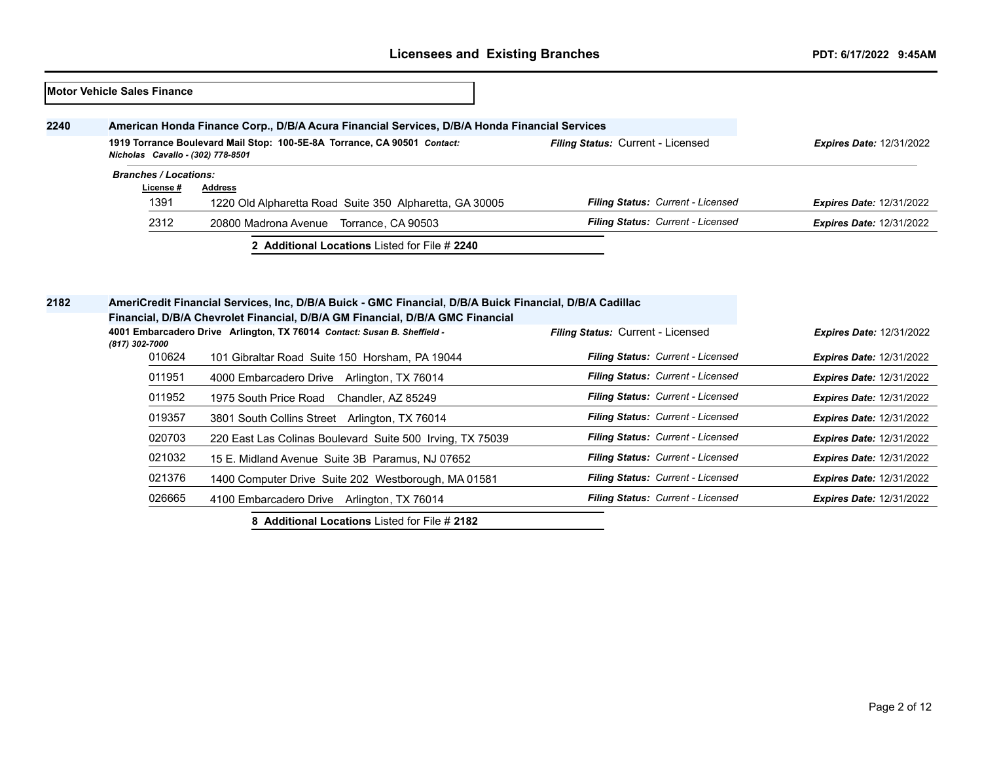|      | <b>IMotor Vehicle Sales Finance</b> |                                                                                              |                                   |                                 |
|------|-------------------------------------|----------------------------------------------------------------------------------------------|-----------------------------------|---------------------------------|
| 2240 |                                     | American Honda Finance Corp., D/B/A Acura Financial Services, D/B/A Honda Financial Services |                                   |                                 |
|      | Nicholas Cavallo - (302) 778-8501   | 1919 Torrance Boulevard Mail Stop: 100-5E-8A Torrance, CA 90501 Contact:                     | Filing Status: Current - Licensed | <b>Expires Date: 12/31/2022</b> |
|      | <b>Branches / Locations:</b>        |                                                                                              |                                   |                                 |
|      | License #                           | <b>Address</b>                                                                               |                                   |                                 |
|      | 1391                                | 1220 Old Alpharetta Road Suite 350 Alpharetta, GA 30005                                      | Filing Status: Current - Licensed | <b>Expires Date: 12/31/2022</b> |
|      | 2312                                | 20800 Madrona Avenue<br>Torrance, CA 90503                                                   | Filing Status: Current - Licensed | <b>Expires Date: 12/31/2022</b> |
|      |                                     | 2 Additional Locations Listed for File # 2240                                                |                                   |                                 |
|      |                                     |                                                                                              |                                   |                                 |

| 2182 |                | AmeriCredit Financial Services, Inc, D/B/A Buick - GMC Financial, D/B/A Buick Financial, D/B/A Cadillac |                                   |                                 |
|------|----------------|---------------------------------------------------------------------------------------------------------|-----------------------------------|---------------------------------|
|      |                | Financial, D/B/A Chevrolet Financial, D/B/A GM Financial, D/B/A GMC Financial                           |                                   |                                 |
|      | (817) 302-7000 | 4001 Embarcadero Drive Arlington, TX 76014 Contact: Susan B. Sheffield -                                | Filing Status: Current - Licensed | <b>Expires Date: 12/31/2022</b> |
|      | 010624         | 101 Gibraltar Road Suite 150 Horsham, PA 19044                                                          | Filing Status: Current - Licensed | <b>Expires Date: 12/31/2022</b> |
|      | 011951         | 4000 Embarcadero Drive<br>Arlington, TX 76014                                                           | Filing Status: Current - Licensed | <b>Expires Date: 12/31/2022</b> |
|      | 011952         | 1975 South Price Road<br>Chandler. AZ 85249                                                             | Filing Status: Current - Licensed | <b>Expires Date: 12/31/2022</b> |
|      | 019357         | 3801 South Collins Street Arlington, TX 76014                                                           | Filing Status: Current - Licensed | <b>Expires Date: 12/31/2022</b> |
|      | 020703         | 220 East Las Colinas Boulevard Suite 500 Irving, TX 75039                                               | Filing Status: Current - Licensed | <b>Expires Date: 12/31/2022</b> |
|      | 021032         | 15 E. Midland Avenue Suite 3B Paramus, NJ 07652                                                         | Filing Status: Current - Licensed | <b>Expires Date: 12/31/2022</b> |
|      | 021376         | 1400 Computer Drive Suite 202 Westborough, MA 01581                                                     | Filing Status: Current - Licensed | <b>Expires Date: 12/31/2022</b> |
|      | 026665         | 4100 Embarcadero Drive<br>Arlington, TX 76014                                                           | Filing Status: Current - Licensed | <b>Expires Date: 12/31/2022</b> |
|      |                | 8 Additional Locations Listed for File # 2182                                                           |                                   |                                 |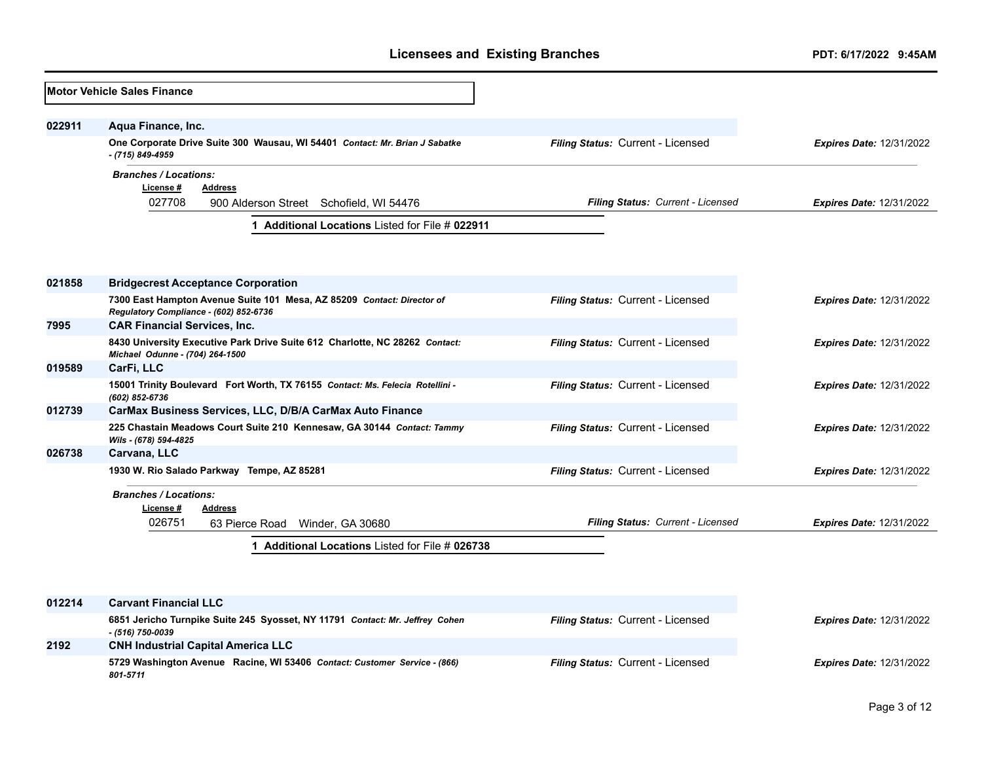|        | <b>Motor Vehicle Sales Finance</b>                                                                               |                                   |                                 |
|--------|------------------------------------------------------------------------------------------------------------------|-----------------------------------|---------------------------------|
| 022911 | Aqua Finance, Inc.                                                                                               |                                   |                                 |
|        | One Corporate Drive Suite 300 Wausau, WI 54401 Contact: Mr. Brian J Sabatke<br>- (715) 849-4959                  | Filing Status: Current - Licensed | <b>Expires Date: 12/31/2022</b> |
|        | <b>Branches / Locations:</b><br>License #<br><b>Address</b><br>027708                                            | Filing Status: Current - Licensed |                                 |
|        | 900 Alderson Street Schofield, WI 54476<br>Additional Locations Listed for File # 022911<br>1                    |                                   | <b>Expires Date: 12/31/2022</b> |
|        |                                                                                                                  |                                   |                                 |
| 021858 | <b>Bridgecrest Acceptance Corporation</b>                                                                        |                                   |                                 |
|        | 7300 East Hampton Avenue Suite 101 Mesa, AZ 85209 Contact: Director of<br>Regulatory Compliance - (602) 852-6736 | Filing Status: Current - Licensed | <b>Expires Date: 12/31/2022</b> |
| 7995   | <b>CAR Financial Services, Inc.</b>                                                                              |                                   |                                 |
|        | 8430 University Executive Park Drive Suite 612 Charlotte, NC 28262 Contact:<br>Michael Odunne - (704) 264-1500   | Filing Status: Current - Licensed | <b>Expires Date: 12/31/2022</b> |
| 019589 | CarFi, LLC                                                                                                       |                                   |                                 |
|        | 15001 Trinity Boulevard Fort Worth, TX 76155 Contact: Ms. Felecia Rotellini -<br>(602) 852-6736                  | Filing Status: Current - Licensed | <b>Expires Date: 12/31/2022</b> |
| 012739 | CarMax Business Services, LLC, D/B/A CarMax Auto Finance                                                         |                                   |                                 |
|        | 225 Chastain Meadows Court Suite 210 Kennesaw, GA 30144 Contact: Tammy<br>Wils - (678) 594-4825                  | Filing Status: Current - Licensed | <b>Expires Date: 12/31/2022</b> |
| 026738 | Carvana, LLC                                                                                                     |                                   |                                 |
|        | 1930 W. Rio Salado Parkway Tempe, AZ 85281                                                                       | Filing Status: Current - Licensed | <b>Expires Date: 12/31/2022</b> |
|        | <b>Branches / Locations:</b><br>License #<br><b>Address</b>                                                      |                                   |                                 |
|        | 026751<br>63 Pierce Road Winder, GA 30680                                                                        | Filing Status: Current - Licensed | <b>Expires Date: 12/31/2022</b> |
|        | 1 Additional Locations Listed for File # 026738                                                                  |                                   |                                 |
|        |                                                                                                                  |                                   |                                 |
| 012214 | <b>Carvant Financial LLC</b>                                                                                     |                                   |                                 |
|        | 6851 Jericho Turnpike Suite 245 Syosset, NY 11791 Contact: Mr. Jeffrey Cohen<br>- (516) 750-0039                 | Filing Status: Current - Licensed | <b>Expires Date: 12/31/2022</b> |
| 2192   | <b>CNH Industrial Capital America LLC</b>                                                                        |                                   |                                 |
|        | 5729 Washington Avenue Racine, WI 53406 Contact: Customer Service - (866)<br>801-5711                            | Filing Status: Current - Licensed | <b>Expires Date: 12/31/2022</b> |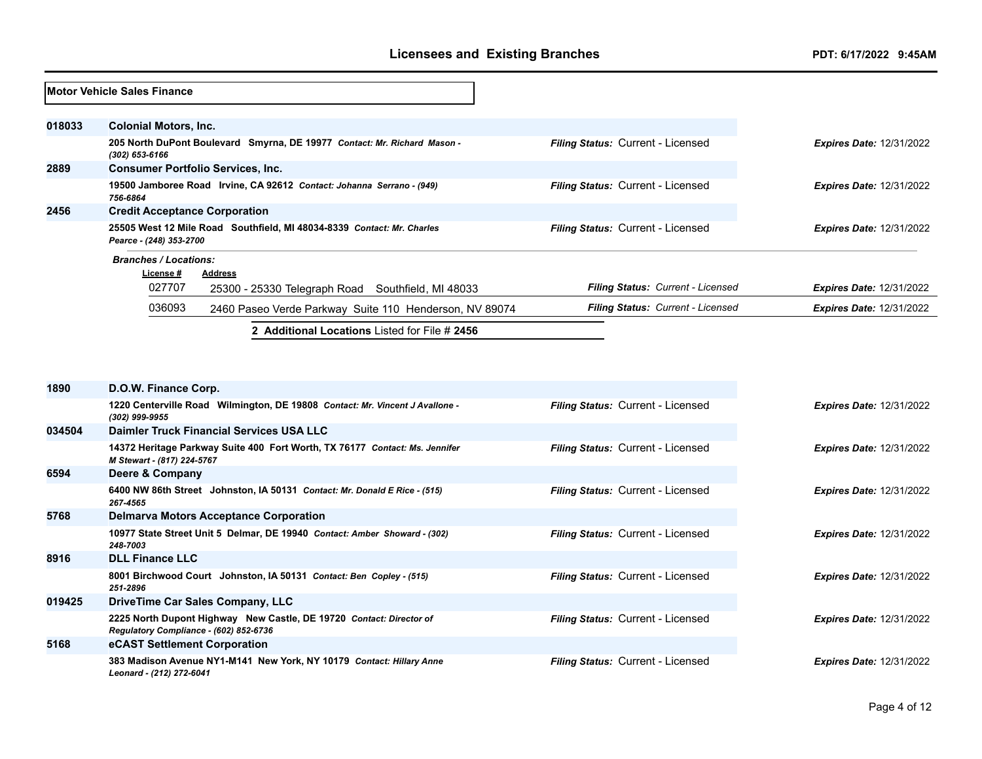|        | <b>Motor Vehicle Sales Finance</b>   |                                                                          |                                          |                                 |
|--------|--------------------------------------|--------------------------------------------------------------------------|------------------------------------------|---------------------------------|
| 018033 | <b>Colonial Motors, Inc.</b>         |                                                                          |                                          |                                 |
|        | (302) 653-6166                       | 205 North DuPont Boulevard Smyrna, DE 19977 Contact: Mr. Richard Mason - | Filing Status: Current - Licensed        | <b>Expires Date: 12/31/2022</b> |
| 2889   |                                      | <b>Consumer Portfolio Services, Inc.</b>                                 |                                          |                                 |
|        | 756-6864                             | 19500 Jamboree Road Irvine, CA 92612 Contact: Johanna Serrano - (949)    | Filing Status: Current - Licensed        | <b>Expires Date: 12/31/2022</b> |
| 2456   | <b>Credit Acceptance Corporation</b> |                                                                          |                                          |                                 |
|        | Pearce - (248) 353-2700              | 25505 West 12 Mile Road Southfield, MI 48034-8339 Contact: Mr. Charles   | <b>Filing Status: Current - Licensed</b> | <b>Expires Date: 12/31/2022</b> |
|        | <b>Branches / Locations:</b>         |                                                                          |                                          |                                 |
|        | License #                            | Address                                                                  |                                          |                                 |
|        | 027707                               | 25300 - 25330 Telegraph Road Southfield, MI 48033                        | Filing Status: Current - Licensed        | <b>Expires Date: 12/31/2022</b> |
|        | 036093                               | 2460 Paseo Verde Parkway Suite 110 Henderson, NV 89074                   | Filing Status: Current - Licensed        | <b>Expires Date: 12/31/2022</b> |
|        |                                      | 2 Additional Locations Listed for File # 2456                            |                                          |                                 |

| 1890   | D.O.W. Finance Corp.                                                                                          |                                          |                                 |
|--------|---------------------------------------------------------------------------------------------------------------|------------------------------------------|---------------------------------|
|        | 1220 Centerville Road Wilmington, DE 19808 Contact: Mr. Vincent J Avallone -<br>(302) 999-9955                | <b>Filing Status: Current - Licensed</b> | <b>Expires Date: 12/31/2022</b> |
| 034504 | Daimler Truck Financial Services USA LLC                                                                      |                                          |                                 |
|        | 14372 Heritage Parkway Suite 400 Fort Worth, TX 76177 Contact: Ms. Jennifer<br>M Stewart - (817) 224-5767     | <b>Filing Status: Current - Licensed</b> | <b>Expires Date: 12/31/2022</b> |
| 6594   | Deere & Company                                                                                               |                                          |                                 |
|        | 6400 NW 86th Street Johnston, IA 50131 Contact: Mr. Donald E Rice - (515)<br>267-4565                         | <b>Filing Status: Current - Licensed</b> | <b>Expires Date: 12/31/2022</b> |
| 5768   | <b>Delmarva Motors Acceptance Corporation</b>                                                                 |                                          |                                 |
|        | 10977 State Street Unit 5 Delmar, DE 19940 Contact: Amber Showard - (302)<br>248-7003                         | <b>Filing Status: Current - Licensed</b> | <b>Expires Date: 12/31/2022</b> |
| 8916   | <b>DLL Finance LLC</b>                                                                                        |                                          |                                 |
|        | 8001 Birchwood Court Johnston, IA 50131 Contact: Ben Copley - (515)<br>251-2896                               | <b>Filing Status: Current - Licensed</b> | <b>Expires Date: 12/31/2022</b> |
| 019425 | <b>DriveTime Car Sales Company, LLC</b>                                                                       |                                          |                                 |
|        | 2225 North Dupont Highway New Castle, DE 19720 Contact: Director of<br>Regulatory Compliance - (602) 852-6736 | <b>Filing Status: Current - Licensed</b> | <b>Expires Date: 12/31/2022</b> |
| 5168   | eCAST Settlement Corporation                                                                                  |                                          |                                 |
|        | 383 Madison Avenue NY1-M141 New York, NY 10179 Contact: Hillary Anne<br>Leonard - (212) 272-6041              | <b>Filing Status: Current - Licensed</b> | <b>Expires Date: 12/31/2022</b> |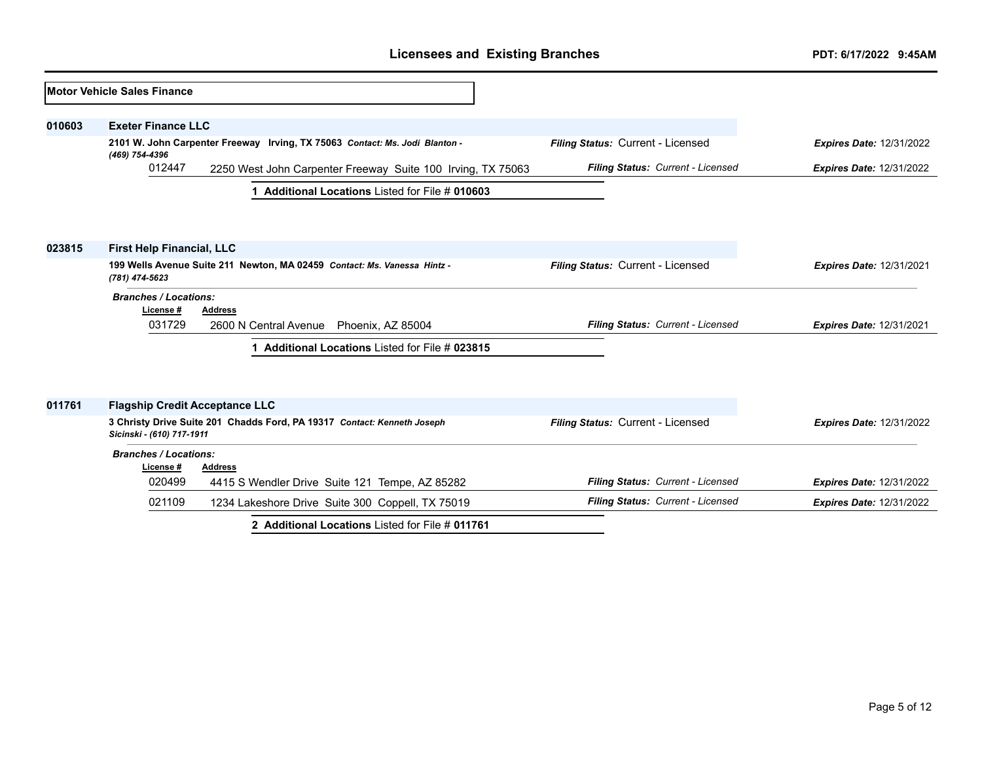|        | <b>IMotor Vehicle Sales Finance</b>      |                                                                             |                                   |                                 |
|--------|------------------------------------------|-----------------------------------------------------------------------------|-----------------------------------|---------------------------------|
| 010603 | <b>Exeter Finance LLC</b>                |                                                                             |                                   |                                 |
|        | (469) 754-4396                           | 2101 W. John Carpenter Freeway Irving, TX 75063 Contact: Ms. Jodi Blanton - | Filing Status: Current - Licensed | <b>Expires Date: 12/31/2022</b> |
|        | 012447                                   | 2250 West John Carpenter Freeway Suite 100 Irving, TX 75063                 | Filing Status: Current - Licensed | <b>Expires Date: 12/31/2022</b> |
|        |                                          | Additional Locations Listed for File # 010603<br>1.                         |                                   |                                 |
|        |                                          |                                                                             |                                   |                                 |
| 023815 | <b>First Help Financial, LLC</b>         | 199 Wells Avenue Suite 211 Newton, MA 02459 Contact: Ms. Vanessa Hintz -    | Filing Status: Current - Licensed | <b>Expires Date: 12/31/2021</b> |
|        | (781) 474-5623                           |                                                                             |                                   |                                 |
|        | <b>Branches / Locations:</b><br>License# | <b>Address</b>                                                              |                                   |                                 |
|        | 031729                                   | 2600 N Central Avenue<br>Phoenix, AZ 85004                                  | Filing Status: Current - Licensed | <b>Expires Date: 12/31/2021</b> |
|        |                                          | Additional Locations Listed for File # 023815                               |                                   |                                 |
|        |                                          |                                                                             |                                   |                                 |
| 011761 | <b>Flagship Credit Acceptance LLC</b>    |                                                                             |                                   |                                 |
|        | Sicinski - (610) 717-1911                | 3 Christy Drive Suite 201 Chadds Ford, PA 19317 Contact: Kenneth Joseph     | Filing Status: Current - Licensed | <b>Expires Date: 12/31/2022</b> |
|        | <b>Branches / Locations:</b>             |                                                                             |                                   |                                 |
|        | License#<br>020499                       | <b>Address</b><br>4415 S Wendler Drive Suite 121 Tempe, AZ 85282            | Filing Status: Current - Licensed | <b>Expires Date: 12/31/2022</b> |
|        | 021109                                   | 1234 Lakeshore Drive Suite 300 Coppell, TX 75019                            | Filing Status: Current - Licensed | <b>Expires Date: 12/31/2022</b> |
|        |                                          | 2 Additional Locations Listed for File # 011761                             |                                   |                                 |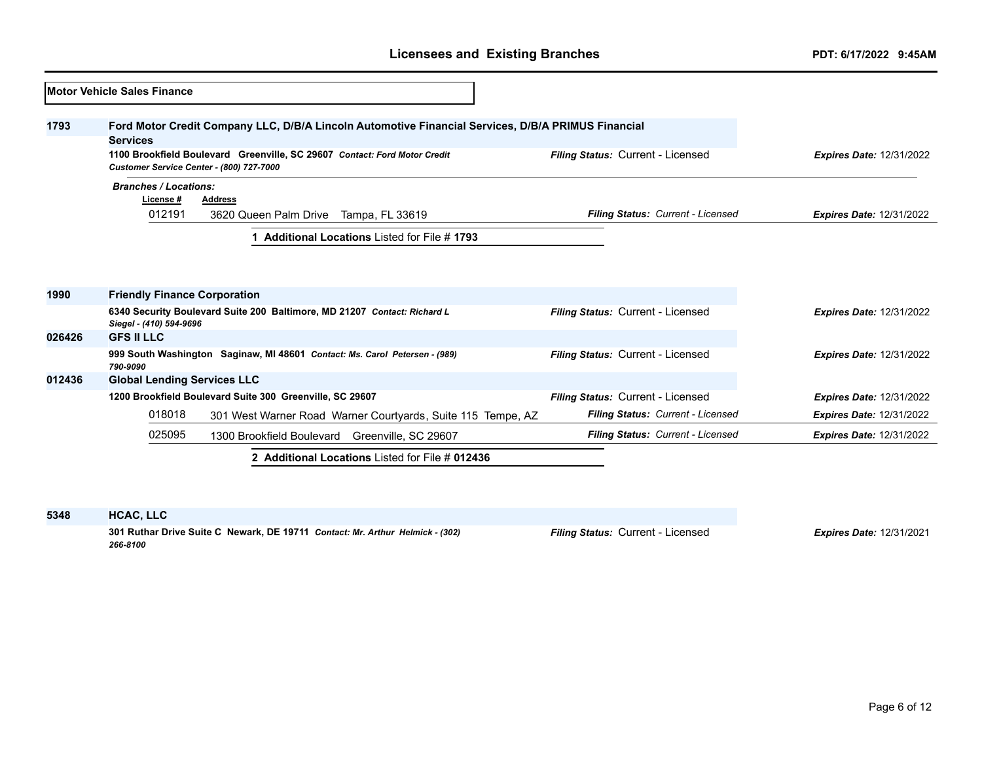|        | Motor Vehicle Sales Finance                                                                                           |                                   |                                 |
|--------|-----------------------------------------------------------------------------------------------------------------------|-----------------------------------|---------------------------------|
| 1793   | Ford Motor Credit Company LLC, D/B/A Lincoln Automotive Financial Services, D/B/A PRIMUS Financial<br><b>Services</b> |                                   |                                 |
|        | 1100 Brookfield Boulevard Greenville, SC 29607 Contact: Ford Motor Credit<br>Customer Service Center - (800) 727-7000 | Filing Status: Current - Licensed | <b>Expires Date: 12/31/2022</b> |
|        | <b>Branches / Locations:</b><br>License #<br><b>Address</b>                                                           |                                   |                                 |
|        | 012191<br>3620 Queen Palm Drive Tampa, FL 33619                                                                       | Filing Status: Current - Licensed | <b>Expires Date: 12/31/2022</b> |
| 1990   | <b>Friendly Finance Corporation</b><br>6340 Security Boulevard Suite 200 Baltimore, MD 21207 Contact: Richard L       | Filing Status: Current - Licensed | <b>Expires Date: 12/31/2022</b> |
| 026426 | Siegel - (410) 594-9696<br><b>GFS II LLC</b>                                                                          |                                   |                                 |
|        | 999 South Washington Saginaw, MI 48601 Contact: Ms. Carol Petersen - (989)<br>790-9090                                | Filing Status: Current - Licensed | <b>Expires Date: 12/31/2022</b> |
| 012436 | <b>Global Lending Services LLC</b>                                                                                    |                                   |                                 |
|        | 1200 Brookfield Boulevard Suite 300 Greenville, SC 29607                                                              | Filing Status: Current - Licensed | <b>Expires Date: 12/31/2022</b> |
|        | 018018<br>301 West Warner Road Warner Courtyards, Suite 115 Tempe, AZ                                                 | Filing Status: Current - Licensed | <b>Expires Date: 12/31/2022</b> |
|        | 025095<br>1300 Brookfield Boulevard Greenville, SC 29607                                                              | Filing Status: Current - Licensed | <b>Expires Date: 12/31/2022</b> |
|        | 2 Additional Locations Listed for File # 012436                                                                       |                                   |                                 |

#### **5348 HCAC, LLC**

**301 Ruthar Drive Suite C Newark, DE 19711** *Contact: Mr. Arthur Helmick - (302) 266-8100*

*Filing Status:* Current - Licensed *Expires Date:* 12/31/2021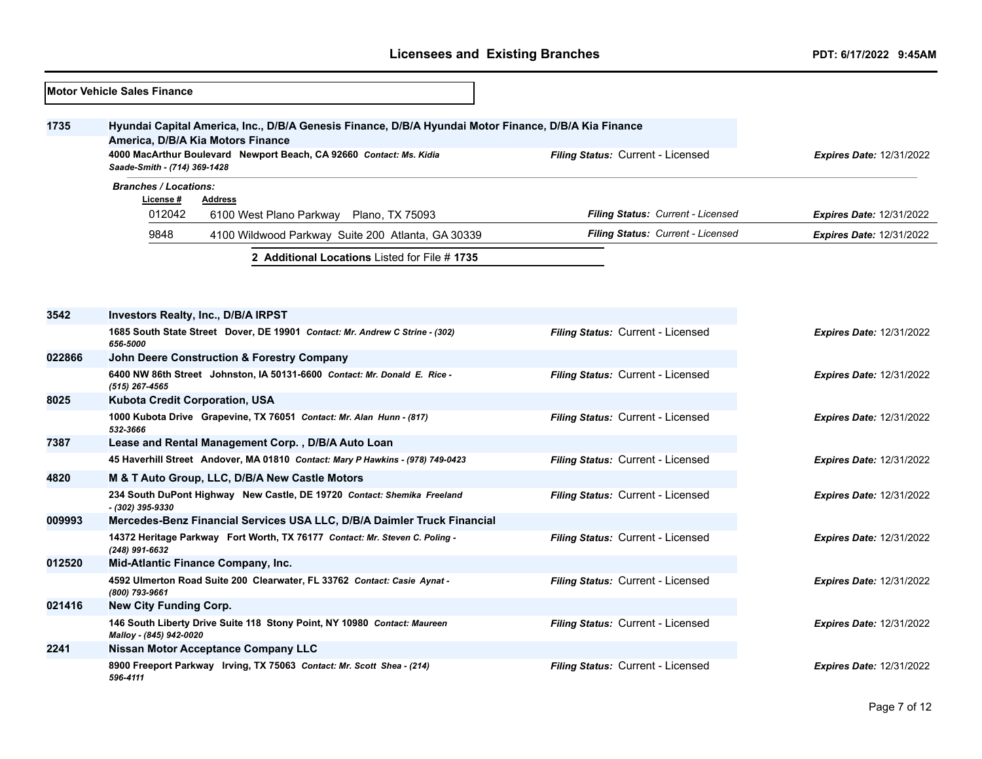|        | <b>Motor Vehicle Sales Finance</b>                                                                                                                                                                               |                                              |                                   |                                   |                                 |
|--------|------------------------------------------------------------------------------------------------------------------------------------------------------------------------------------------------------------------|----------------------------------------------|-----------------------------------|-----------------------------------|---------------------------------|
| 1735   | Hyundai Capital America, Inc., D/B/A Genesis Finance, D/B/A Hyundai Motor Finance, D/B/A Kia Finance<br>America, D/B/A Kia Motors Finance<br>4000 MacArthur Boulevard Newport Beach, CA 92660 Contact: Ms. Kidia |                                              | Filing Status: Current - Licensed |                                   | Expires Date: 12/31/2022        |
|        | Saade-Smith - (714) 369-1428                                                                                                                                                                                     |                                              |                                   |                                   |                                 |
|        | <b>Branches / Locations:</b><br>License #<br><b>Address</b>                                                                                                                                                      |                                              |                                   |                                   |                                 |
|        | 012042<br>6100 West Plano Parkway                                                                                                                                                                                | Plano, TX 75093                              |                                   | Filing Status: Current - Licensed | <b>Expires Date: 12/31/2022</b> |
|        | 9848<br>4100 Wildwood Parkway Suite 200 Atlanta, GA 30339                                                                                                                                                        |                                              |                                   | Filing Status: Current - Licensed | <b>Expires Date: 12/31/2022</b> |
|        |                                                                                                                                                                                                                  | 2 Additional Locations Listed for File #1735 |                                   |                                   |                                 |
|        |                                                                                                                                                                                                                  |                                              |                                   |                                   |                                 |
|        |                                                                                                                                                                                                                  |                                              |                                   |                                   |                                 |
| 3542   | <b>Investors Realty, Inc., D/B/A IRPST</b>                                                                                                                                                                       |                                              |                                   |                                   |                                 |
|        | 1685 South State Street Dover, DE 19901 Contact: Mr. Andrew C Strine - (302)<br>656-5000                                                                                                                         |                                              | Filing Status: Current - Licensed |                                   | <b>Expires Date: 12/31/2022</b> |
| 022866 | <b>John Deere Construction &amp; Forestry Company</b>                                                                                                                                                            |                                              |                                   |                                   |                                 |
|        | 6400 NW 86th Street Johnston, IA 50131-6600 Contact: Mr. Donald E. Rice -<br>$(515)$ 267-4565                                                                                                                    |                                              | Filing Status: Current - Licensed |                                   | <b>Expires Date: 12/31/2022</b> |
| 8025   | Kubota Credit Corporation, USA                                                                                                                                                                                   |                                              |                                   |                                   |                                 |
|        | 1000 Kubota Drive Grapevine, TX 76051 Contact: Mr. Alan Hunn - (817)<br>532-3666                                                                                                                                 |                                              | Filing Status: Current - Licensed |                                   | <b>Expires Date: 12/31/2022</b> |
| 7387   | Lease and Rental Management Corp. , D/B/A Auto Loan                                                                                                                                                              |                                              |                                   |                                   |                                 |
|        | 45 Haverhill Street Andover, MA 01810 Contact: Mary P Hawkins - (978) 749-0423                                                                                                                                   |                                              | Filing Status: Current - Licensed |                                   | <b>Expires Date: 12/31/2022</b> |
| 4820   | M & T Auto Group, LLC, D/B/A New Castle Motors                                                                                                                                                                   |                                              |                                   |                                   |                                 |
|        | 234 South DuPont Highway New Castle, DE 19720 Contact: Shemika Freeland<br>- (302) 395-9330                                                                                                                      |                                              | Filing Status: Current - Licensed |                                   | <b>Expires Date: 12/31/2022</b> |
| 009993 | Mercedes-Benz Financial Services USA LLC, D/B/A Daimler Truck Financial                                                                                                                                          |                                              |                                   |                                   |                                 |
|        | 14372 Heritage Parkway Fort Worth, TX 76177 Contact: Mr. Steven C. Poling -<br>(248) 991-6632                                                                                                                    |                                              | Filing Status: Current - Licensed |                                   | <b>Expires Date: 12/31/2022</b> |
| 012520 | Mid-Atlantic Finance Company, Inc.                                                                                                                                                                               |                                              |                                   |                                   |                                 |
|        | 4592 Ulmerton Road Suite 200 Clearwater, FL 33762 Contact: Casie Aynat -<br>(800) 793-9661                                                                                                                       |                                              | Filing Status: Current - Licensed |                                   | <b>Expires Date: 12/31/2022</b> |
| 021416 | New City Funding Corp.                                                                                                                                                                                           |                                              |                                   |                                   |                                 |
|        | 146 South Liberty Drive Suite 118 Stony Point, NY 10980 Contact: Maureen<br>Malloy - (845) 942-0020                                                                                                              |                                              | Filing Status: Current - Licensed |                                   | <b>Expires Date: 12/31/2022</b> |
| 2241   | <b>Nissan Motor Acceptance Company LLC</b>                                                                                                                                                                       |                                              |                                   |                                   |                                 |
|        | 8900 Freeport Parkway Irving, TX 75063 Contact: Mr. Scott Shea - (214)<br>596-4111                                                                                                                               |                                              | Filing Status: Current - Licensed |                                   | <b>Expires Date: 12/31/2022</b> |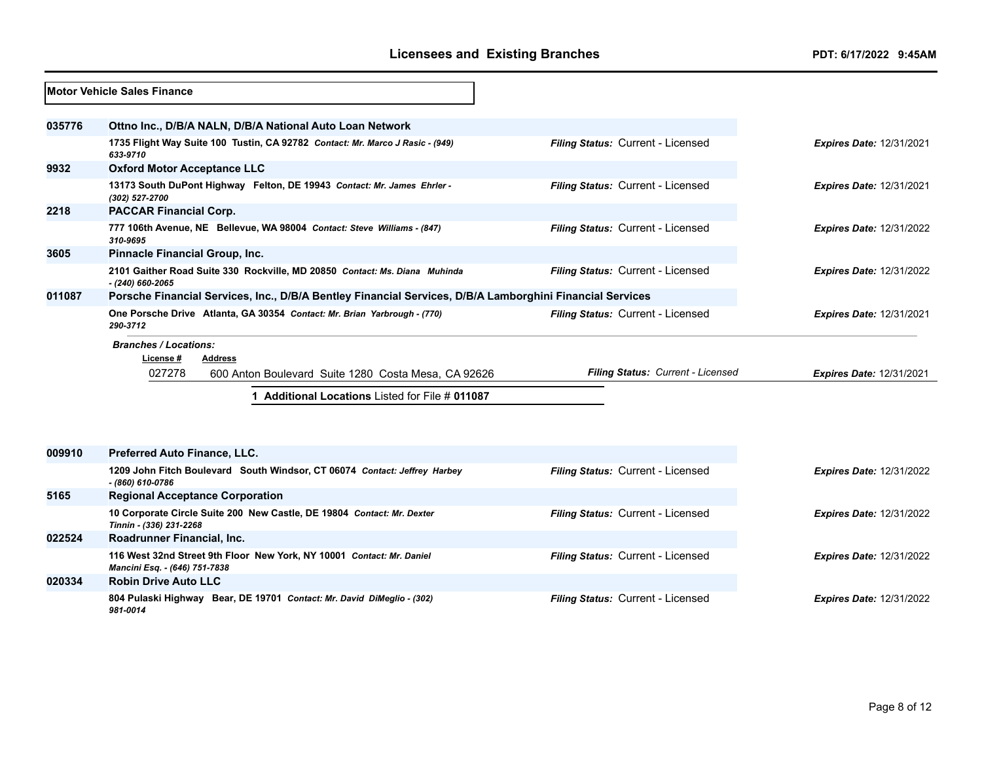|        | <b>Motor Vehicle Sales Finance</b>                                                                                   |                                   |                                 |
|--------|----------------------------------------------------------------------------------------------------------------------|-----------------------------------|---------------------------------|
| 035776 | Ottno Inc., D/B/A NALN, D/B/A National Auto Loan Network                                                             |                                   |                                 |
|        | 1735 Flight Way Suite 100 Tustin, CA 92782 Contact: Mr. Marco J Rasic - (949)<br>633-9710                            | Filing Status: Current - Licensed | <b>Expires Date: 12/31/2021</b> |
| 9932   | <b>Oxford Motor Acceptance LLC</b>                                                                                   |                                   |                                 |
|        | 13173 South DuPont Highway Felton, DE 19943 Contact: Mr. James Ehrler -<br>(302) 527-2700                            | Filing Status: Current - Licensed | Expires Date: 12/31/2021        |
| 2218   | <b>PACCAR Financial Corp.</b>                                                                                        |                                   |                                 |
|        | 777 106th Avenue, NE Bellevue, WA 98004 Contact: Steve Williams - (847)<br>310-9695                                  | Filing Status: Current - Licensed | <b>Expires Date: 12/31/2022</b> |
| 3605   | Pinnacle Financial Group, Inc.                                                                                       |                                   |                                 |
|        | 2101 Gaither Road Suite 330 Rockville, MD 20850 Contact: Ms. Diana Muhinda<br>$-$ (240) 660-2065                     | Filing Status: Current - Licensed | <b>Expires Date: 12/31/2022</b> |
| 011087 | Porsche Financial Services, Inc., D/B/A Bentley Financial Services, D/B/A Lamborghini Financial Services             |                                   |                                 |
|        | One Porsche Drive Atlanta, GA 30354 Contact: Mr. Brian Yarbrough - (770)<br>290-3712                                 | Filing Status: Current - Licensed | <b>Expires Date: 12/31/2021</b> |
|        | <b>Branches / Locations:</b><br>License#<br>Address<br>027278<br>600 Anton Boulevard Suite 1280 Costa Mesa, CA 92626 | Filing Status: Current - Licensed | <b>Expires Date: 12/31/2021</b> |
|        | 1 Additional Locations Listed for File # 011087                                                                      |                                   |                                 |
| 009910 |                                                                                                                      |                                   |                                 |
|        | Preferred Auto Finance, LLC.<br>1209 John Fitch Boulevard South Windsor, CT 06074 Contact: Jeffrey Harbey            |                                   |                                 |
|        | $- (860) 610 - 0786$                                                                                                 | Filing Status: Current - Licensed | <b>Expires Date: 12/31/2022</b> |
| 5165   | <b>Regional Acceptance Corporation</b>                                                                               |                                   |                                 |
|        | 10 Corporate Circle Suite 200 New Castle, DE 19804 Contact: Mr. Dexter<br>Tinnin - (336) 231-2268                    | Filing Status: Current - Licensed | <b>Expires Date: 12/31/2022</b> |
| 022524 | Roadrunner Financial, Inc.                                                                                           |                                   |                                 |
|        | 116 West 32nd Street 9th Floor New York, NY 10001 Contact: Mr. Daniel<br>Mancini Esq. - (646) 751-7838               | Filing Status: Current - Licensed | <b>Expires Date: 12/31/2022</b> |
| 020334 | <b>Robin Drive Auto LLC</b>                                                                                          |                                   |                                 |
|        | 804 Pulaski Highway Bear, DE 19701 Contact: Mr. David DiMeglio - (302)<br>981-0014                                   | Filing Status: Current - Licensed | <b>Expires Date: 12/31/2022</b> |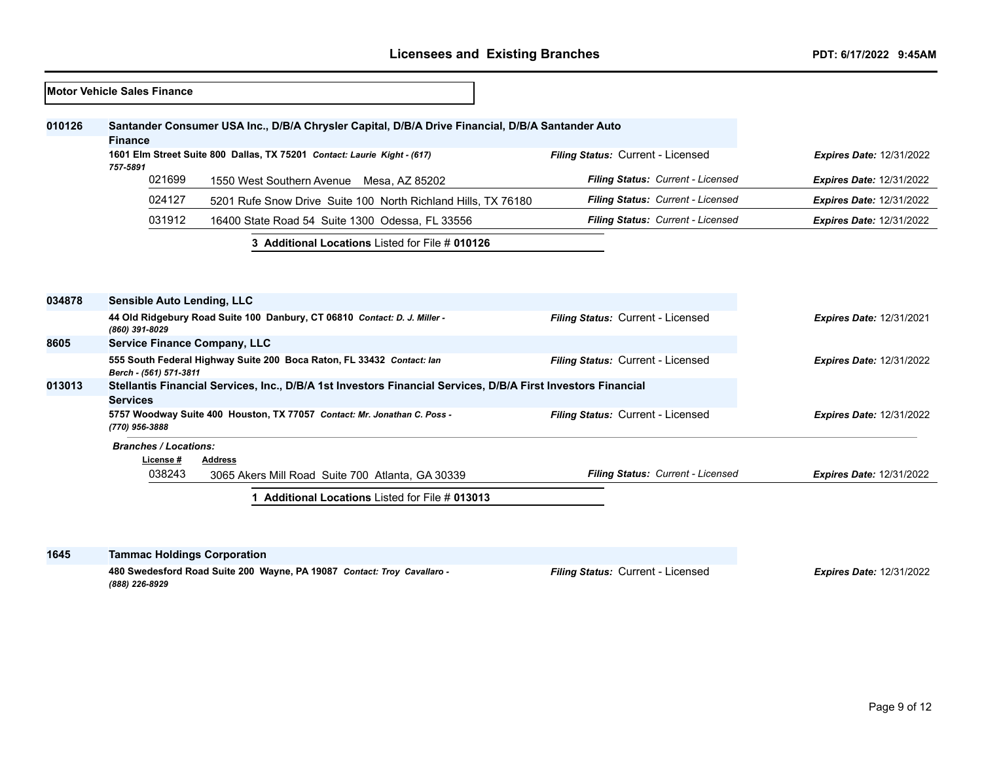|        | <b>Motor Vehicle Sales Finance</b>  |                                                                                                              |                                   |                                 |
|--------|-------------------------------------|--------------------------------------------------------------------------------------------------------------|-----------------------------------|---------------------------------|
| 010126 | Finance                             | Santander Consumer USA Inc., D/B/A Chrysler Capital, D/B/A Drive Financial, D/B/A Santander Auto             |                                   |                                 |
|        | 757-5891                            | 1601 Elm Street Suite 800 Dallas, TX 75201 Contact: Laurie Kight - (617)                                     | Filing Status: Current - Licensed | <b>Expires Date: 12/31/2022</b> |
|        | 021699                              | 1550 West Southern Avenue Mesa, AZ 85202                                                                     | Filing Status: Current - Licensed | <b>Expires Date: 12/31/2022</b> |
|        | 024127                              | 5201 Rufe Snow Drive Suite 100 North Richland Hills, TX 76180                                                | Filing Status: Current - Licensed | <b>Expires Date: 12/31/2022</b> |
|        | 031912                              | 16400 State Road 54 Suite 1300 Odessa, FL 33556                                                              | Filing Status: Current - Licensed | <b>Expires Date: 12/31/2022</b> |
|        |                                     | 3 Additional Locations Listed for File # 010126                                                              |                                   |                                 |
|        |                                     |                                                                                                              |                                   |                                 |
| 034878 | <b>Sensible Auto Lending, LLC</b>   |                                                                                                              |                                   |                                 |
|        | (860) 391-8029                      | 44 Old Ridgebury Road Suite 100 Danbury, CT 06810 Contact: D. J. Miller -                                    | Filing Status: Current - Licensed | <b>Expires Date: 12/31/2021</b> |
| 8605   | <b>Service Finance Company, LLC</b> |                                                                                                              |                                   |                                 |
|        | Berch - (561) 571-3811              | 555 South Federal Highway Suite 200 Boca Raton, FL 33432 Contact: lan                                        | Filing Status: Current - Licensed | <b>Expires Date: 12/31/2022</b> |
| 013013 | <b>Services</b>                     | Stellantis Financial Services, Inc., D/B/A 1st Investors Financial Services, D/B/A First Investors Financial |                                   |                                 |
|        | (770) 956-3888                      | 5757 Woodway Suite 400 Houston, TX 77057 Contact: Mr. Jonathan C. Poss -                                     | Filing Status: Current - Licensed | <b>Expires Date: 12/31/2022</b> |
|        | <b>Branches / Locations:</b>        |                                                                                                              |                                   |                                 |
|        | License #                           | <b>Address</b>                                                                                               |                                   |                                 |
|        | 038243                              | 3065 Akers Mill Road Suite 700 Atlanta, GA 30339                                                             | Filing Status: Current - Licensed | <b>Expires Date: 12/31/2022</b> |
|        |                                     | 1 Additional Locations Listed for File # 013013                                                              |                                   |                                 |
|        |                                     |                                                                                                              |                                   |                                 |

| 1645 | <b>Tammac Holdings Corporation</b>                                                        |                                          |                                 |
|------|-------------------------------------------------------------------------------------------|------------------------------------------|---------------------------------|
|      | 480 Swedesford Road Suite 200 Wayne, PA 19087 Contact: Troy Cavallaro -<br>(888) 226-8929 | <b>Filing Status: Current - Licensed</b> | <b>Expires Date: 12/31/2022</b> |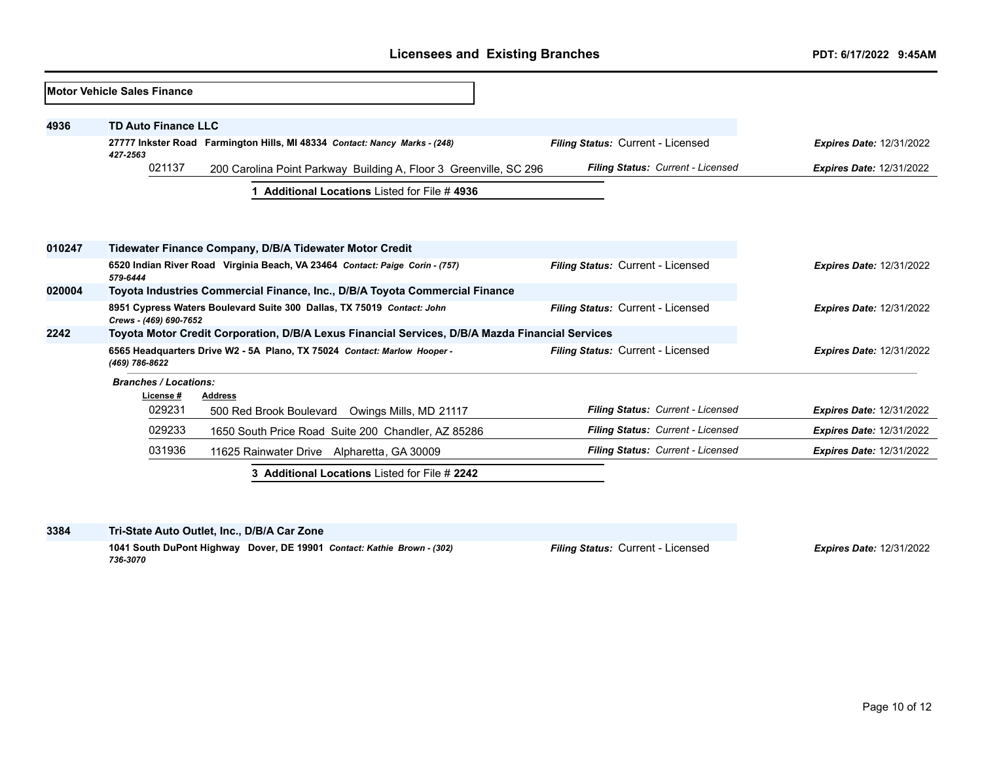|        | <b>Motor Vehicle Sales Finance</b>                                                              |                                                                              |                                   |                                 |
|--------|-------------------------------------------------------------------------------------------------|------------------------------------------------------------------------------|-----------------------------------|---------------------------------|
| 4936   | <b>TD Auto Finance LLC</b>                                                                      |                                                                              |                                   |                                 |
|        | 27777 Inkster Road Farmington Hills, MI 48334 Contact: Nancy Marks - (248)<br>427-2563          |                                                                              | Filing Status: Current - Licensed | <b>Expires Date: 12/31/2022</b> |
|        | 021137<br>200 Carolina Point Parkway Building A, Floor 3 Greenville, SC 296                     |                                                                              | Filing Status: Current - Licensed | <b>Expires Date: 12/31/2022</b> |
|        |                                                                                                 | <b>Additional Locations Listed for File #4936</b>                            |                                   |                                 |
| 010247 |                                                                                                 | Tidewater Finance Company, D/B/A Tidewater Motor Credit                      |                                   |                                 |
|        | 579-6444                                                                                        | 6520 Indian River Road Virginia Beach, VA 23464 Contact: Paige Corin - (757) | Filing Status: Current - Licensed | <b>Expires Date: 12/31/2022</b> |
| 020004 |                                                                                                 | Toyota Industries Commercial Finance, Inc., D/B/A Toyota Commercial Finance  |                                   |                                 |
|        | Crews - (469) 690-7652                                                                          | 8951 Cypress Waters Boulevard Suite 300 Dallas, TX 75019 Contact: John       | Filing Status: Current - Licensed | <b>Expires Date: 12/31/2022</b> |
| 2242   | Toyota Motor Credit Corporation, D/B/A Lexus Financial Services, D/B/A Mazda Financial Services |                                                                              |                                   |                                 |
|        | (469) 786-8622                                                                                  | 6565 Headquarters Drive W2 - 5A Plano, TX 75024 Contact: Marlow Hooper -     | Filing Status: Current - Licensed | <b>Expires Date: 12/31/2022</b> |
|        | <b>Branches / Locations:</b><br>License#                                                        | <b>Address</b>                                                               |                                   |                                 |
|        | 029231                                                                                          | 500 Red Brook Boulevard Owings Mills, MD 21117                               | Filing Status: Current - Licensed | <b>Expires Date: 12/31/2022</b> |
|        | 029233                                                                                          | 1650 South Price Road Suite 200 Chandler, AZ 85286                           | Filing Status: Current - Licensed | <b>Expires Date: 12/31/2022</b> |
|        | 031936                                                                                          | 11625 Rainwater Drive Alpharetta, GA 30009                                   | Filing Status: Current - Licensed | <b>Expires Date: 12/31/2022</b> |
|        |                                                                                                 | 3 Additional Locations Listed for File # 2242                                |                                   |                                 |

**3384 Tri-State Auto Outlet, Inc., D/B/A Car Zone**

**1041 South DuPont Highway Dover, DE 19901** *Contact: Kathie Brown - (302) 736-3070*

*Filing Status:* Current - Licensed *Expires Date:* 12/31/2022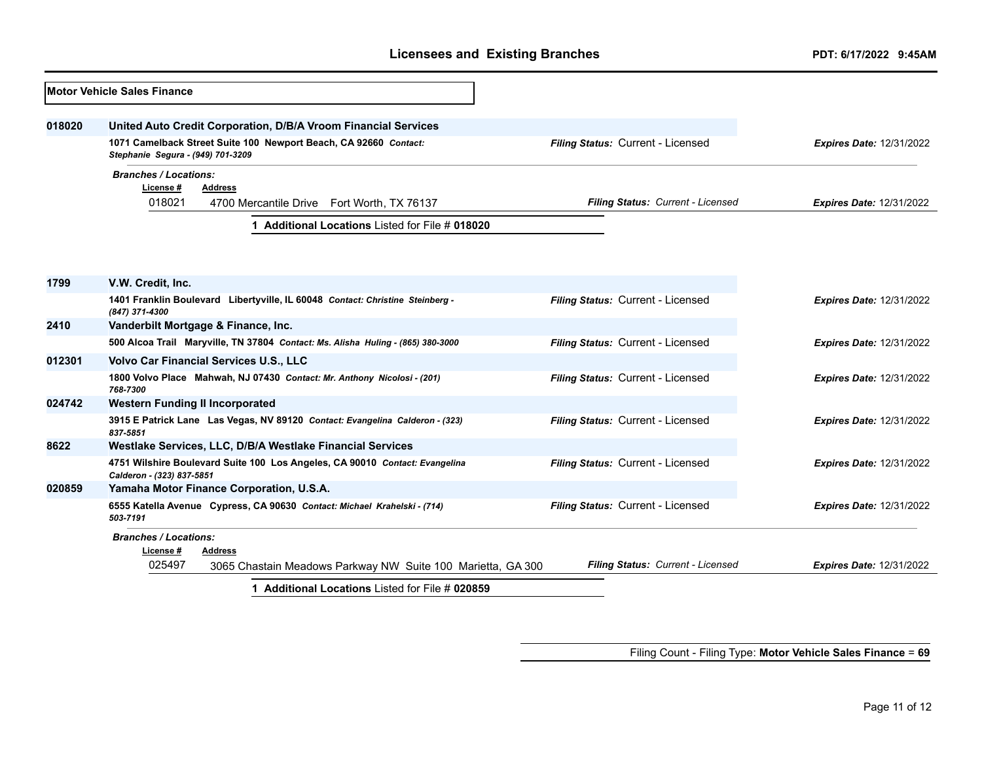|        | Motor Vehicle Sales Finance                                                                              |                                   |                                 |  |  |
|--------|----------------------------------------------------------------------------------------------------------|-----------------------------------|---------------------------------|--|--|
| 018020 | United Auto Credit Corporation, D/B/A Vroom Financial Services                                           |                                   |                                 |  |  |
|        | 1071 Camelback Street Suite 100 Newport Beach, CA 92660 Contact:<br>Stephanie Segura - (949) 701-3209    | Filing Status: Current - Licensed | <b>Expires Date: 12/31/2022</b> |  |  |
|        | <b>Branches / Locations:</b><br>License #<br>Address<br>018021                                           | Filing Status: Current - Licensed | <b>Expires Date: 12/31/2022</b> |  |  |
|        | 4700 Mercantile Drive Fort Worth, TX 76137                                                               |                                   |                                 |  |  |
|        | Additional Locations Listed for File # 018020                                                            |                                   |                                 |  |  |
|        |                                                                                                          |                                   |                                 |  |  |
| 1799   | V.W. Credit, Inc.                                                                                        |                                   |                                 |  |  |
|        | 1401 Franklin Boulevard Libertyville, IL 60048 Contact: Christine Steinberg -<br>(847) 371-4300          | Filing Status: Current - Licensed | <b>Expires Date: 12/31/2022</b> |  |  |
| 2410   | Vanderbilt Mortgage & Finance, Inc.                                                                      |                                   |                                 |  |  |
|        | 500 Alcoa Trail Maryville, TN 37804 Contact: Ms. Alisha Huling - (865) 380-3000                          | Filing Status: Current - Licensed | <b>Expires Date: 12/31/2022</b> |  |  |
| 012301 | <b>Volvo Car Financial Services U.S., LLC</b>                                                            |                                   |                                 |  |  |
|        | 1800 Volvo Place Mahwah, NJ 07430 Contact: Mr. Anthony Nicolosi - (201)<br>768-7300                      | Filing Status: Current - Licensed | <b>Expires Date: 12/31/2022</b> |  |  |
| 024742 | <b>Western Funding II Incorporated</b>                                                                   |                                   |                                 |  |  |
|        | 3915 E Patrick Lane Las Vegas, NV 89120 Contact: Evangelina Calderon - (323)<br>837-5851                 | Filing Status: Current - Licensed | <b>Expires Date: 12/31/2022</b> |  |  |
| 8622   | Westlake Services, LLC, D/B/A Westlake Financial Services                                                |                                   |                                 |  |  |
|        | 4751 Wilshire Boulevard Suite 100 Los Angeles, CA 90010 Contact: Evangelina<br>Calderon - (323) 837-5851 | Filing Status: Current - Licensed | <b>Expires Date: 12/31/2022</b> |  |  |
| 020859 | Yamaha Motor Finance Corporation, U.S.A.                                                                 |                                   |                                 |  |  |
|        | 6555 Katella Avenue Cypress, CA 90630 Contact: Michael Krahelski - (714)<br>503-7191                     | Filing Status: Current - Licensed | <b>Expires Date: 12/31/2022</b> |  |  |
|        | <b>Branches / Locations:</b><br>License #<br><b>Address</b>                                              |                                   |                                 |  |  |
|        | 025497<br>3065 Chastain Meadows Parkway NW Suite 100 Marietta, GA 300                                    | Filing Status: Current - Licensed | <b>Expires Date: 12/31/2022</b> |  |  |
|        | 1 Additional Locations Listed for File # 020859                                                          |                                   |                                 |  |  |

Filing Count - Filing Type: **Motor Vehicle Sales Finance** = **69**